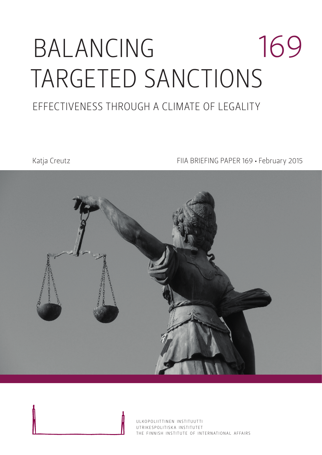# BALANCING TARGETED SANCTIONS 169

### EFFECTIVENESS THROUGH A CLIMATE OF LEGALITY

Katja Creutz **FIIA BRIEFING PAPER 169 • February 2015** 

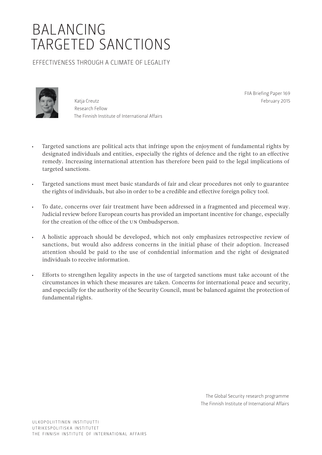## BALANCING TARGETED SANCTIONS

EFFECTIVENESS THROUGH A CLIMATE OF LEGALITY



Katja Creutz Research Fellow The Finnish Institute of International Affairs FIIA Briefing Paper 169 February 2015

- Targeted sanctions are political acts that infringe upon the enjoyment of fundamental rights by designated individuals and entities, especially the rights of defence and the right to an effective remedy. Increasing international attention has therefore been paid to the legal implications of targeted sanctions.
- Targeted sanctions must meet basic standards of fair and clear procedures not only to guarantee the rights of individuals, but also in order to be a credible and effective foreign policy tool.
- To date, concerns over fair treatment have been addressed in a fragmented and piecemeal way. Judicial review before European courts has provided an important incentive for change, especially for the creation of the office of the UN Ombudsperson.
- A holistic approach should be developed, which not only emphasizes retrospective review of sanctions, but would also address concerns in the initial phase of their adoption. Increased attention should be paid to the use of confidential information and the right of designated individuals to receive information.
- Efforts to strengthen legality aspects in the use of targeted sanctions must take account of the circumstances in which these measures are taken. Concerns for international peace and security, and especially for the authority of the Security Council, must be balanced against the protection of fundamental rights.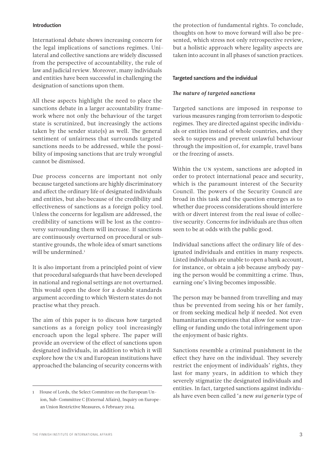#### Introduction

International debate shows increasing concern for the legal implications of sanctions regimes. Unilateral and collective sanctions are widely discussed from the perspective of accountability, the rule of law and judicial review. Moreover, many individuals and entities have been successful in challenging the designation of sanctions upon them.

All these aspects highlight the need to place the sanctions debate in a larger accountability framework where not only the behaviour of the target state is scrutinized, but increasingly the actions taken by the sender state(s) as well. The general sentiment of unfairness that surrounds targeted sanctions needs to be addressed, while the possibility of imposing sanctions that are truly wrongful cannot be dismissed.

Due process concerns are important not only because targeted sanctions are highly discriminatory and affect the ordinary life of designated individuals and entities, but also because of the credibility and effectiveness of sanctions as a foreign policy tool. Unless the concerns for legalism are addressed, the credibility of sanctions will be lost as the controversy surrounding them will increase. If sanctions are continuously overturned on procedural or substantive grounds, the whole idea of smart sanctions will be undermined.<sup>1</sup>

It is also important from a principled point of view that procedural safeguards that have been developed in national and regional settings are not overturned. This would open the door for a double standards argument according to which Western states do not practise what they preach.

The aim of this paper is to discuss how targeted sanctions as a foreign policy tool increasingly encroach upon the legal sphere. The paper will provide an overview of the effect of sanctions upon designated individuals, in addition to which it will explore how the UN and European institutions have approached the balancing of security concerns with the protection of fundamental rights. To conclude, thoughts on how to move forward will also be presented, which stress not only retrospective review, but a holistic approach where legality aspects are taken into account in all phases of sanction practices.

#### Targeted sanctions and the individual

#### *The nature of targeted sanctions*

Targeted sanctions are imposed in response to various measures ranging from terrorism to despotic regimes. They are directed against specific individuals or entities instead of whole countries, and they seek to suppress and prevent unlawful behaviour through the imposition of, for example, travel bans or the freezing of assets.

Within the UN system, sanctions are adopted in order to protect international peace and security, which is the paramount interest of the Security Council. The powers of the Security Council are broad in this task and the question emerges as to whether due process considerations should interfere with or divert interest from the real issue of collective security. Concerns for individuals are thus often seen to be at odds with the public good.

Individual sanctions affect the ordinary life of designated individuals and entities in many respects. Listed individuals are unable to open a bank account, for instance, or obtain a job because anybody paying the person would be committing a crime. Thus, earning one's living becomes impossible.

The person may be banned from travelling and may thus be prevented from seeing his or her family, or from seeking medical help if needed. Not even humanitarian exemptions that allow for some travelling or funding undo the total infringement upon the enjoyment of basic rights.

Sanctions resemble a criminal punishment in the effect they have on the individual. They severely restrict the enjoyment of individuals' rights, they last for many years, in addition to which they severely stigmatize the designated individuals and entities. In fact, targeted sanctions against individuals have even been called 'a new *sui generis* type of

<sup>1</sup> House of Lords, the Select Committee on the European Union, Sub-Committee C (External Affairs), Inquiry on European Union Restrictive Measures, 6 February 2014.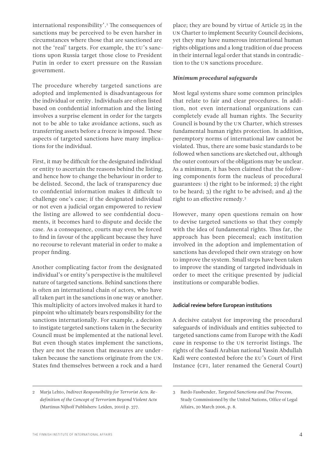international responsibility'.2 The consequences of sanctions may be perceived to be even harsher in circumstances where those that are sanctioned are not the 'real' targets. For example, the EU's sanctions upon Russia target those close to President Putin in order to exert pressure on the Russian government.

The procedure whereby targeted sanctions are adopted and implemented is disadvantageous for the individual or entity. Individuals are often listed based on confidential information and the listing involves a surprise element in order for the targets not to be able to take avoidance actions, such as transferring assets before a freeze is imposed. These aspects of targeted sanctions have many implications for the individual.

First, it may be difficult for the designated individual or entity to ascertain the reasons behind the listing, and hence how to change the behaviour in order to be delisted. Second, the lack of transparency due to confidential information makes it difficult to challenge one's case; if the designated individual or not even a judicial organ empowered to review the listing are allowed to see confidential documents, it becomes hard to dispute and decide the case. As a consequence, courts may even be forced to find in favour of the applicant because they have no recourse to relevant material in order to make a proper finding.

Another complicating factor from the designated individual's or entity's perspective is the multilevel nature of targeted sanctions. Behind sanctions there is often an international chain of actors, who have all taken part in the sanctions in one way or another. This multiplicity of actors involved makes it hard to pinpoint who ultimately bears responsibility for the sanctions internationally. For example, a decision to instigate targeted sanctions taken in the Security Council must be implemented at the national level. But even though states implement the sanctions, they are not the reason that measures are undertaken because the sanctions originate from the UN. States find themselves between a rock and a hard

place; they are bound by virtue of Article 25 in the UN Charter to implement Security Council decisions, yet they may have numerous international human rights obligations and a long tradition of due process in their internal legal order that stands in contradiction to the UN sanctions procedure.

#### *Minimum procedural safeguards*

Most legal systems share some common principles that relate to fair and clear procedures. In addition, not even international organizations can completely evade all human rights. The Security Council is bound by the UN Charter, which stresses fundamental human rights protection. In addition, peremptory norms of international law cannot be violated. Thus, there are some basic standards to be followed when sanctions are sketched out, although the outer contours of the obligations may be unclear. As a minimum, it has been claimed that the following components form the nucleus of procedural guarantees: 1) the right to be informed; 2) the right to be heard; 3) the right to be advised; and 4) the right to an effective remedy.3

However, many open questions remain on how to devise targeted sanctions so that they comply with the idea of fundamental rights. Thus far, the approach has been piecemeal; each institution involved in the adoption and implementation of sanctions has developed their own strategy on how to improve the system. Small steps have been taken to improve the standing of targeted individuals in order to meet the critique presented by judicial institutions or comparable bodies.

#### Judicial review before European institutions

A decisive catalyst for improving the procedural safeguards of individuals and entities subjected to targeted sanctions came from Europe with the *Kadi case* in response to the UN terrorist listings. The rights of the Saudi Arabian national Yassin Abdullah Kadi were contested before the EU's Court of First Instance (CFI, later renamed the General Court)

<sup>2</sup> Marja Lehto, *Indirect Responsibility for Terrorist Acts. Redefinition of the Concept of Terrorism Beyond Violent Acts* (Martinus Nijhoff Publishers: Leiden, 2010) p. 377.

<sup>3</sup> Bardo Fassbender, *Targeted Sanctions and Due Process*, Study Commissioned by the United Nations, Office of Legal Affairs, 20 March 2006, p. 8.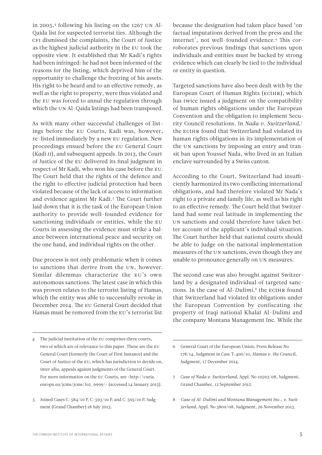authority to provide well-founded evidence for sanctioning individuals or entities, while the EU Courts in assessing the evidence must strike a balance between international peace and security on the one hand, and individual rights on the other.

Due process is not only problematic when it comes to sanctions that derive from the UN, however. Similar dilemmas characterize the EU's own autonomous sanctions. The latest case in which this was proven relates to the terrorist listing of Hamas, which the entity was able to successfully revoke in December 2014. The EU General Court decided that Hamas must be removed from the EU's terrorist list

4 The judicial institution of the EU comprises three courts, two of which are of relevance to this paper. These are the EU General Court (formerly the Court of First Instance) and the Court of Justice of the EU, which has jurisdiction to decide on, *inter alia*, appeals against judgments of the General Court. For more information on the EU Courts, see <[http://curia.](http://curia.europa.eu/jcms/jcms/Jo2_6999/) [europa.eu/jcms/jcms/Jo2\\_6999/>](http://curia.europa.eu/jcms/jcms/Jo2_6999/) (accessed 14 January 2015).

in 2005,<sup>4</sup> following his listing on the 1267 UN Al-Qaida list for suspected terrorist ties. Although the CFI dismissed the complaints, the Court of Justice as the highest judicial authority in the EU took the opposite view. It established that Mr Kadi's rights had been infringed: he had not been informed of the reasons for the listing, which deprived him of the opportunity to challenge the freezing of his assets. His right to be heard and to an effective remedy, as well as the right to property, were thus violated and the EU was forced to annul the regulation through which the UN Al-Qaida listings had been transposed.

As with many other successful challenges of listings before the EU Courts, Kadi was, however, re-listed immediately by a new EU regulation. New proceedings ensued before the EU General Court (*Kadi II*), and subsequent appeals. In 2013, the Court of Justice of the EU delivered its final judgment in respect of Mr Kadi, who won his case before the EU. The Court held that the rights of the defence and the right to effective judicial protection had been violated because of the lack of access to information and evidence against Mr Kadi.5 The Court further laid down that it is the task of the European Union

because the designation had taken place based 'on factual imputations derived from the press and the internet', not well-founded evidence.<sup>6</sup> This corroborates previous findings that sanctions upon individuals and entities must be backed by strong evidence which can clearly be tied to the individual or entity in question.

Targeted sanctions have also been dealt with by the European Court of Human Rights (ECtHR), which has twice issued a judgment on the compatibility of human rights obligations under the European Convention and the obligation to implement Security Council resolutions. In *Nada v. Switzerland*,7 the ECtHR found that Switzerland had violated its human rights obligations in its implementation of the UN sanctions by imposing an entry and transit ban upon Youssef Nada, who lived in an Italian enclave surrounded by a Swiss canton.

According to the Court, Switzerland had insufficiently harmonized its two conflicting international obligations, and had therefore violated Mr Nada's right to a private and family life, as well as his right to an effective remedy. The Court held that Switzerland had some real latitude in implementing the UN sanctions and could therefore have taken better account of the applicant's individual situation. The Court further held that national courts should be able to judge on the national implementation measures of the UN sanctions, even though they are unable to pronounce generally on UN measures.

The second case was also brought against Switzerland by a designated individual of targeted sanctions. In the case of *Al-Dulimi*,<sup>8</sup> the ECtHR found that Switzerland had violated its obligations under the European Convention by confiscating the property of Iraqi national Khalaf Al-Dulimi and the company Montana Management Inc. While the

- 6 General Court of the European Union, Press Release No 178/14, Judgment in Case T-400/10, *Hamas v. the Council*, Judgment, 17 December 2014.
- 7 *Case of Nada v. Switzerland*, Appl. No 10593/08, Judgment, Grand Chamber, 12 September 2012.
- 8 *Case of Al-Dulimi and Montana Management Inc., v. Switzerland*, Appl. No 5809/08, Judgment, 26 November 2013.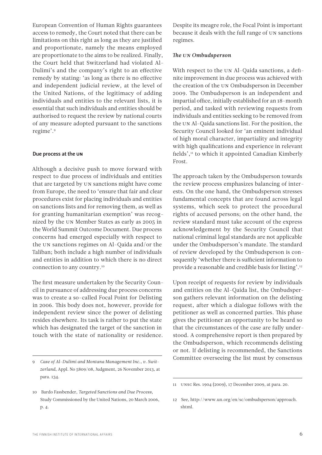European Convention of Human Rights guarantees access to remedy, the Court noted that there can be limitations on this right as long as they are justified and proportionate, namely the means employed are proportionate to the aims to be realized. Finally, the Court held that Switzerland had violated Al-Dulimi's and the company's right to an effective remedy by stating: 'as long as there is no effective and independent judicial review, at the level of the United Nations, of the legitimacy of adding individuals and entities to the relevant lists, it is essential that such individuals and entities should be authorised to request the review by national courts of any measure adopted pursuant to the sanctions regime'.9

#### Due process at the UN

Although a decisive push to move forward with respect to due process of individuals and entities that are targeted by UN sanctions might have come from Europe, the need to 'ensure that fair and clear procedures exist for placing individuals and entities on sanctions lists and for removing them, as well as for granting humanitarian exemption' was recognized by the UN Member States as early as 2005 in the World Summit Outcome Document. Due process concerns had emerged especially with respect to the UN sanctions regimes on Al-Qaida and/or the Taliban; both include a high number of individuals and entities in addition to which there is no direct connection to any country.10

The first measure undertaken by the Security Council in pursuance of addressing due process concerns was to create a so-called Focal Point for Delisting in 2006. This body does not, however, provide for independent review since the power of delisting resides elsewhere. Its task is rather to put the state which has designated the target of the sanction in touch with the state of nationality or residence.

Despite its meagre role, the Focal Point is important because it deals with the full range of UN sanctions regimes.

#### *The UN Ombudsperson*

With respect to the UN Al-Qaida sanctions, a definite improvement in due process was achieved with the creation of the UN Ombudsperson in December 2009. The Ombudsperson is an independent and impartial office, initially established for an 18-month period, and tasked with reviewing requests from individuals and entities seeking to be removed from the UN Al-Qaida sanctions list. For the position, the Security Council looked for 'an eminent individual of high moral character, impartiality and integrity with high qualifications and experience in relevant fields',<sup>11</sup> to which it appointed Canadian Kimberly Frost.

The approach taken by the Ombudsperson towards the review process emphasizes balancing of interests. On the one hand, the Ombudsperson stresses fundamental concepts that are found across legal systems, which seek to protect the procedural rights of accused persons; on the other hand, the review standard must take account of the express acknowledgement by the Security Council that national criminal legal standards are not applicable under the Ombudsperson's mandate. The standard of review developed by the Ombudsperson is consequently 'whether there is sufficient information to provide a reasonable and credible basis for listing'.12

Upon receipt of requests for review by individuals and entities on the Al-Qaida list, the Ombudsperson gathers relevant information on the delisting request, after which a dialogue follows with the petitioner as well as concerned parties. This phase gives the petitioner an opportunity to be heard so that the circumstances of the case are fully understood. A comprehensive report is then prepared by the Ombudsperson, which recommends delisting or not. If delisting is recommended, the Sanctions Committee overseeing the list must by consensus

<sup>9</sup> *Case of Al-Dulimi and Montana Management Inc., v. Switzerland*, Appl. No 5809/08, Judgment, 26 November 2013, at para. 134.

<sup>10</sup> Bardo Fassbender, *Targeted Sanctions and Due Process*, Study Commissioned by the United Nations, 20 March 2006, p. 4.

<sup>11</sup> UNSC Res. 1904 (2009), 17 December 2009, at para. 20.

<sup>12</sup> See, [http://www.un.org/en/sc/ombudsperson/approach.](http://www.un.org/en/sc/ombudsperson/approach.shtml) [shtml](http://www.un.org/en/sc/ombudsperson/approach.shtml).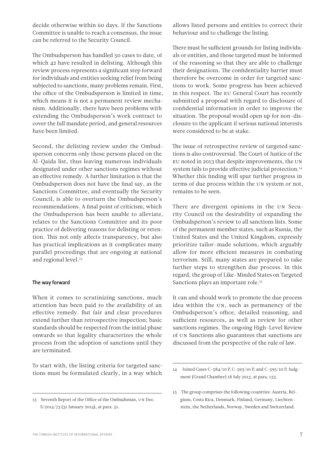decide otherwise within 60 days. If the Sanctions Committee is unable to reach a consensus, the issue can be referred to the Security Council.

The Ombudsperson has handled 50 cases to date, of which 42 have resulted in delisting. Although this review process represents a significant step forward for individuals and entities seeking relief from being subjected to sanctions, many problems remain. First, the office of the Ombudsperson is limited in time, which means it is not a permanent review mechanism. Additionally, there have been problems with extending the Ombudsperson's work contract to cover the full mandate period, and general resources have been limited.

Second, the delisting review under the Ombudsperson concerns only those persons placed on the Al-Qaida list, thus leaving numerous individuals designated under other sanctions regimes without an effective remedy. A further limitation is that the Ombudsperson does not have the final say, as the Sanctions Committee, and eventually the Security Council, is able to overturn the Ombudsperson's recommendations. A final point of criticism, which the Ombudsperson has been unable to alleviate, relates to the Sanctions Committee and its poor practice of delivering reasons for delisting or retention. This not only affects transparency, but also has practical implications as it complicates many parallel proceedings that are ongoing at national and regional level.<sup>13</sup>

#### The way forward

When it comes to scrutinizing sanctions, much attention has been paid to the availability of an effective remedy. But fair and clear procedures extend further than retrospective inspection; basic standards should be respected from the initial phase onwards so that legality characterizes the whole process from the adoption of sanctions until they are terminated.

To start with, the listing criteria for targeted sanctions must be formulated clearly, in a way which

allows listed persons and entities to correct their behaviour and to challenge the listing.

There must be sufficient grounds for listing individuals or entities, and those targeted must be informed of the reasoning so that they are able to challenge their designations. The confidentiality barrier must therefore be overcome in order for targeted sanctions to work. Some progress has been achieved in this respect. The EU General Court has recently submitted a proposal with regard to disclosure of confidential information in order to improve the situation. The proposal would open up for non-disclosure to the applicant if serious national interests were considered to be at stake.

The issue of retrospective review of targeted sanctions is also controversial. The Court of Justice of the EU noted in 2013 that despite improvements, the UN system fails to provide effective judicial protection.<sup>14</sup> Whether this finding will spur further progress in terms of due process within the UN system or not, remains to be seen.

There are divergent opinions in the UN Security Council on the desirability of expanding the Ombudsperson's review to all sanctions lists. Some of the permanent member states, such as Russia, the United States and the United Kingdom, expressly prioritize tailor-made solutions, which arguably allow for more efficient measures in combating terrorism. Still, many states are prepared to take further steps to strengthen due process. In this regard, the group of Like-Minded States on Targeted Sanctions plays an important role.<sup>15</sup>

It can and should work to promote the due process idea within the UN, such as permanency of the Ombudsperson's office, detailed reasoning, and sufficient resources, as well as review for other sanctions regimes. The ongoing High-Level Review of UN Sanctions also guarantees that sanctions are discussed from the perspective of the rule of law.

<sup>13</sup> Seventh Report of the Office of the Ombudsman, UN Doc. S/2014/73 (31 January 2014), at para. 51.

<sup>14</sup> Joined Cases C-584/10 P, C-593/10 P, and C-595/10 P, Judgment (Grand Chamber) 18 July 2013, at para. 133.

<sup>15</sup> The group comprises the following countries: Austria, Belgium, Costa Rica, Denmark, Finland, Germany, Liechtenstein, the Netherlands, Norway, Sweden and Switzerland.